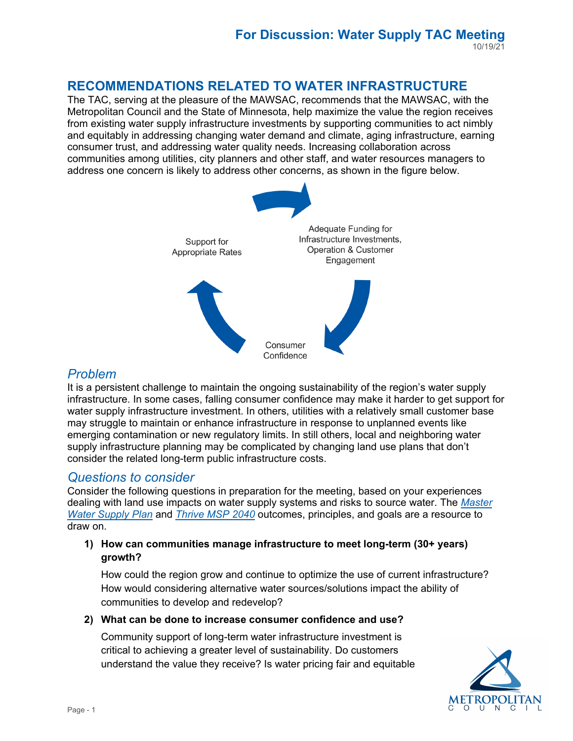# **RECOMMENDATIONS RELATED TO WATER INFRASTRUCTURE**

The TAC, serving at the pleasure of the MAWSAC, recommends that the MAWSAC, with the Metropolitan Council and the State of Minnesota, help maximize the value the region receives from existing water supply infrastructure investments by supporting communities to act nimbly and equitably in addressing changing water demand and climate, aging infrastructure, earning consumer trust, and addressing water quality needs. Increasing collaboration across communities among utilities, city planners and other staff, and water resources managers to address one concern is likely to address other concerns, as shown in the figure below.



# *Problem*

It is a persistent challenge to maintain the ongoing sustainability of the region's water supply infrastructure. In some cases, falling consumer confidence may make it harder to get support for water supply infrastructure investment. In others, utilities with a relatively small customer base may struggle to maintain or enhance infrastructure in response to unplanned events like emerging contamination or new regulatory limits. In still others, local and neighboring water supply infrastructure planning may be complicated by changing land use plans that don't consider the related long-term public infrastructure costs.

## *Questions to consider*

Consider the following questions in preparation for the meeting, based on your experiences dealing with land use impacts on water supply systems and risks to source water. The *[Master](https://metrocouncil.org/Wastewater-Water/Planning/Water-Supply-Planning/Planners/Master-Water-Supply-Plan.aspx)  [Water Supply Plan](https://metrocouncil.org/Wastewater-Water/Planning/Water-Supply-Planning/Planners/Master-Water-Supply-Plan.aspx)* and*[Thrive MSP 2040](https://metrocouncil.org/Planning/Projects/Thrive-2040/Thrive-MSP-2040-Plan.aspx?source=child)* outcomes, principles, and goals are a resource to draw on.

## **1) How can communities manage infrastructure to meet long-term (30+ years) growth?**

How could the region grow and continue to optimize the use of current infrastructure? How would considering alternative water sources/solutions impact the ability of communities to develop and redevelop?

## **2) What can be done to increase consumer confidence and use?**

Community support of long-term water infrastructure investment is critical to achieving a greater level of sustainability. Do customers understand the value they receive? Is water pricing fair and equitable

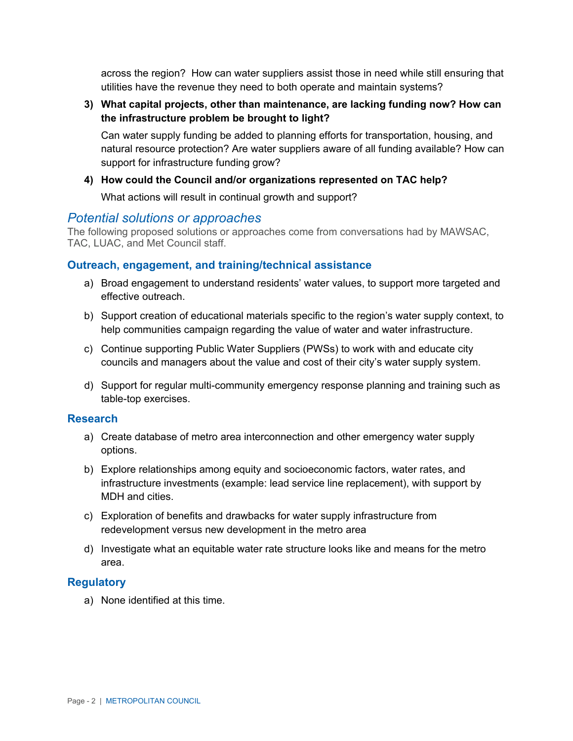utilities have the revenue they need to both operate and maintain systems? across the region? How can water suppliers assist those in need while still ensuring that

**3) What capital projects, other than maintenance, are lacking funding now? How can the infrastructure problem be brought to light?** 

Can water supply funding be added to planning efforts for transportation, housing, and natural resource protection? Are water suppliers aware of all funding available? How can support for infrastructure funding grow?

#### **4) How could the Council and/or organizations represented on TAC help?**

What actions will result in continual growth and support?

## *Potential solutions or approaches*

The following proposed solutions or approaches come from conversations had by MAWSAC, TAC, LUAC, and Met Council staff.

#### **Outreach, engagement, and training/technical assistance**

- a) Broad engagement to understand residents' water values, to support more targeted and effective outreach.
- b) Support creation of educational materials specific to the region's water supply context, to help communities campaign regarding the value of water and water infrastructure.
- c) Continue supporting Public Water Suppliers (PWSs) to work with and educate city councils and managers about the value and cost of their city's water supply system.
- d) Support for regular multi-community emergency response planning and training such as table-top exercises.

#### **Research**

- a) Create database of metro area interconnection and other emergency water supply options.
- b) Explore relationships among equity and socioeconomic factors, water rates, and infrastructure investments (example: lead service line replacement), with support by MDH and cities.
- c) Exploration of benefits and drawbacks for water supply infrastructure from redevelopment versus new development in the metro area
- d) Investigate what an equitable water rate structure looks like and means for the metro area.

#### **Regulatory**

a) None identified at this time.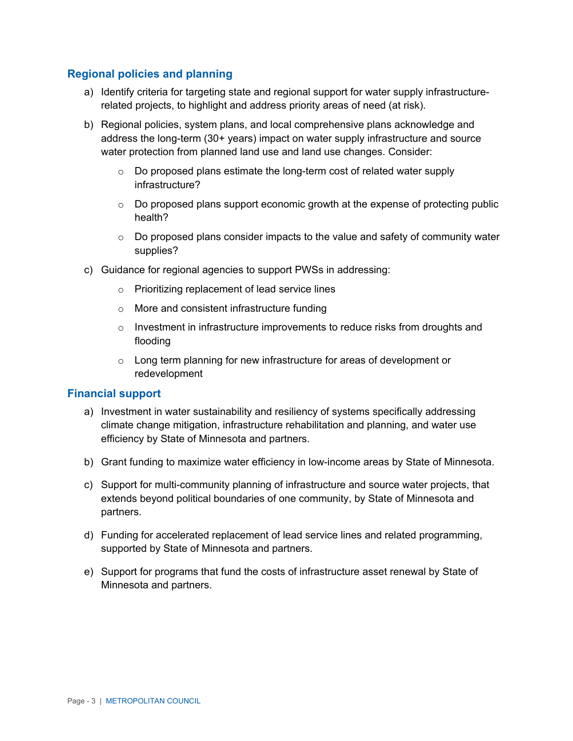## **Regional policies and planning**

- a) Identify criteria for targeting state and regional support for water supply infrastructurerelated projects, to highlight and address priority areas of need (at risk).
- b) Regional policies, system plans, and local comprehensive plans acknowledge and address the long-term (30+ years) impact on water supply infrastructure and source water protection from planned land use and land use changes. Consider:
	- o Do proposed plans estimate the long-term cost of related water supply infrastructure?
	- $\circ$  Do proposed plans support economic growth at the expense of protecting public health?
	- $\circ$  Do proposed plans consider impacts to the value and safety of community water supplies?
- c) Guidance for regional agencies to support PWSs in addressing:
	- o Prioritizing replacement of lead service lines
	- o More and consistent infrastructure funding
	- $\circ$  Investment in infrastructure improvements to reduce risks from droughts and flooding
	- o Long term planning for new infrastructure for areas of development or redevelopment

#### **Financial support**

- a) Investment in water sustainability and resiliency of systems specifically addressing climate change mitigation, infrastructure rehabilitation and planning, and water use efficiency by State of Minnesota and partners.
- b) Grant funding to maximize water efficiency in low-income areas by State of Minnesota.
- extends beyond political boundaries of one community, by State of Minnesota and c) Support for multi-community planning of infrastructure and source water projects, that partners.
- d) Funding for accelerated replacement of lead service lines and related programming, supported by State of Minnesota and partners.
- e) Support for programs that fund the costs of infrastructure asset renewal by State of Minnesota and partners.